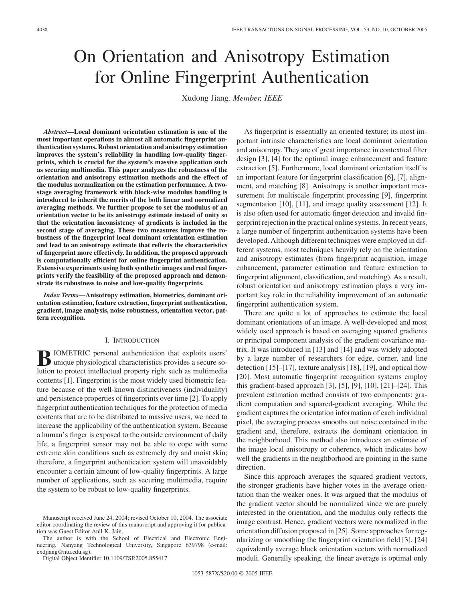# On Orientation and Anisotropy Estimation for Online Fingerprint Authentication

Xudong Jiang*, Member, IEEE*

*Abstract—***Local dominant orientation estimation is one of the most important operations in almost all automatic fingerprint authentication systems. Robust orientation and anisotropy estimation improves the system's reliability in handling low-quality fingerprints, which is crucial for the system's massive application such as securing multimedia. This paper analyzes the robustness of the orientation and anisotropy estimation methods and the effect of the modulus normalization on the estimation performance. A twostage averaging framework with block-wise modulus handling is introduced to inherit the merits of the both linear and normalized averaging methods. We further propose to set the modulus of an orientation vector to be its anisotropy estimate instead of unity so that the orientation inconsistency of gradients is included in the second stage of averaging. These two measures improve the robustness of the fingerprint local dominant orientation estimation and lead to an anisotropy estimate that reflects the characteristics of fingerprint more effectively. In addition, the proposed approach is computationally efficient for online fingerprint authentication. Extensive experiments using both synthetic images and real fingerprints verify the feasibility of the proposed approach and demonstrate its robustness to noise and low-quality fingerprints.**

*Index Terms—***Anisotropy estimation, biometrics, dominant orientation estimation, feature extraction, fingerprint authentication, gradient, image analysis, noise robustness, orientation vector, pattern recognition.**

## I. INTRODUCTION

**B**IOMETRIC personal authentication that exploits users'<br>unique physiological characteristics provides a secure solution to protect intellectual property right such as multimedia contents [1]. Fingerprint is the most widely used biometric feature because of the well-known distinctiveness (individuality) and persistence properties of fingerprints over time [2]. To apply fingerprint authentication techniques for the protection of media contents that are to be distributed to massive users, we need to increase the applicability of the authentication system. Because a human's finger is exposed to the outside environment of daily life, a fingerprint sensor may not be able to cope with some extreme skin conditions such as extremely dry and moist skin; therefore, a fingerprint authentication system will unavoidably encounter a certain amount of low-quality fingerprints. A large number of applications, such as securing multimedia, require the system to be robust to low-quality fingerprints.

The author is with the School of Electrical and Electronic Engineering, Nanyang Technological University, Singapore 639798 (e-mail: exdjiang@ntu.edu.sg).

Digital Object Identifier 10.1109/TSP.2005.855417

As fingerprint is essentially an oriented texture; its most important intrinsic characteristics are local dominant orientation and anisotropy. They are of great importance in contextual filter design [3], [4] for the optimal image enhancement and feature extraction [5]. Furthermore, local dominant orientation itself is an important feature for fingerprint classification [6], [7], alignment, and matching [8]. Anisotropy is another important measurement for multiscale fingerprint processing [9], fingerprint segmentation [10], [11], and image quality assessment [12]. It is also often used for automatic finger detection and invalid fingerprint rejection in the practical online systems. In recent years, a large number of fingerprint authentication systems have been developed. Although different techniques were employed in different systems, most techniques heavily rely on the orientation and anisotropy estimates (from fingerprint acquisition, image enhancement, parameter estimation and feature extraction to fingerprint alignment, classification, and matching). As a result, robust orientation and anisotropy estimation plays a very important key role in the reliability improvement of an automatic fingerprint authentication system.

There are quite a lot of approaches to estimate the local dominant orientations of an image. A well-developed and most widely used approach is based on averaging squared gradients or principal component analysis of the gradient covariance matrix. It was introduced in [13] and [14] and was widely adopted by a large number of researchers for edge, corner, and line detection [15]–[17], texture analysis [18], [19], and optical flow [20]. Most automatic fingerprint recognition systems employ this gradient-based approach [3], [5], [9], [10], [21]–[24]. This prevalent estimation method consists of two components: gradient computation and squared-gradient averaging. While the gradient captures the orientation information of each individual pixel, the averaging process smooths out noise contained in the gradient and, therefore, extracts the dominant orientation in the neighborhood. This method also introduces an estimate of the image local anisotropy or coherence, which indicates how well the gradients in the neighborhood are pointing in the same direction.

Since this approach averages the squared gradient vectors, the stronger gradients have higher votes in the average orientation than the weaker ones. It was argued that the modulus of the gradient vector should be normalized since we are purely interested in the orientation, and the modulus only reflects the image contrast. Hence, gradient vectors were normalized in the orientation diffusion proposed in [25]. Some approaches for regularizing or smoothing the fingerprint orientation field [3], [24] equivalently average block orientation vectors with normalized moduli. Generally speaking, the linear average is optimal only

Manuscript received June 24, 2004; revised October 10, 2004. The associate editor coordinating the review of this manuscript and approving it for publication was Guest Editor Anil K. Jain.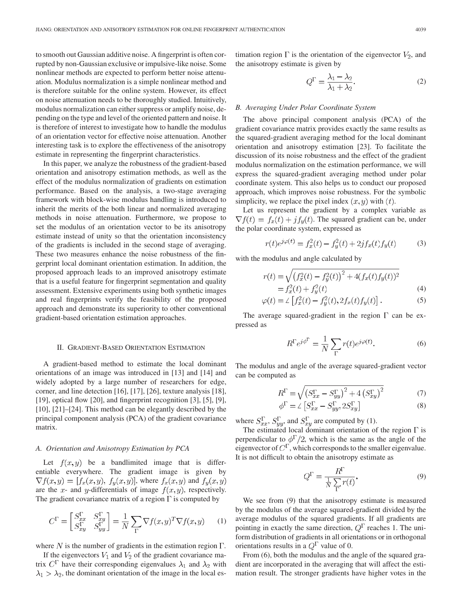to smooth out Gaussian additive noise. A fingerprint is often corrupted by non-Gaussian exclusive or impulsive-like noise. Some nonlinear methods are expected to perform better noise attenuation. Modulus normalization is a simple nonlinear method and is therefore suitable for the online system. However, its effect on noise attenuation needs to be thoroughly studied. Intuitively, modulus normalization can either suppress or amplify noise, depending on the type and level of the oriented pattern and noise. It is therefore of interest to investigate how to handle the modulus of an orientation vector for effective noise attenuation. Another interesting task is to explore the effectiveness of the anisotropy estimate in representing the fingerprint characteristics.

In this paper, we analyze the robustness of the gradient-based orientation and anisotropy estimation methods, as well as the effect of the modulus normalization of gradients on estimation performance. Based on the analysis, a two-stage averaging framework with block-wise modulus handling is introduced to inherit the merits of the both linear and normalized averaging methods in noise attenuation. Furthermore, we propose to set the modulus of an orientation vector to be its anisotropy estimate instead of unity so that the orientation inconsistency of the gradients is included in the second stage of averaging. These two measures enhance the noise robustness of the fingerprint local dominant orientation estimation. In addition, the proposed approach leads to an improved anisotropy estimate that is a useful feature for fingerprint segmentation and quality assessment. Extensive experiments using both synthetic images and real fingerprints verify the feasibility of the proposed approach and demonstrate its superiority to other conventional gradient-based orientation estimation approaches.

#### II. GRADIENT-BASED ORIENTATION ESTIMATION

A gradient-based method to estimate the local dominant orientations of an image was introduced in [13] and [14] and widely adopted by a large number of researchers for edge, corner, and line detection [16], [17], [26], texture analysis [18], [19], optical flow [20], and fingerprint recognition [3], [5], [9], [10], [21]–[24]. This method can be elegantly described by the principal component analysis (PCA) of the gradient covariance matrix.

#### *A. Orientation and Anisotropy Estimation by PCA*

Let  $f(x, y)$  be a bandlimited image that is differentiable everywhere. The gradient image is given by  $\nabla f(x,y) = [f_x(x,y), f_y(x,y)]$ , where  $f_x(x,y)$  and  $f_y(x,y)$ are the x- and y-differentials of image  $f(x, y)$ , respectively. The gradient covariance matrix of a region  $\Gamma$  is computed by

$$
C^{\Gamma} = \begin{bmatrix} S_{xx}^{\Gamma} & S_{xy}^{\Gamma} \\ S_{xy}^{\Gamma} & S_{yy}^{\Gamma} \end{bmatrix} = \frac{1}{N} \sum_{\Gamma} \nabla f(x, y)^{T} \nabla f(x, y) \tag{1}
$$

where N is the number of gradients in the estimation region  $\Gamma$ .

If the eigenvectors  $V_1$  and  $V_2$  of the gradient covariance matrix  $C^{\Gamma}$  have their corresponding eigenvalues  $\lambda_1$  and  $\lambda_2$  with  $\lambda_1 > \lambda_2$ , the dominant orientation of the image in the local estimation region  $\Gamma$  is the orientation of the eigenvector  $V_2$ , and the anisotropy estimate is given by

$$
Q^{\Gamma} = \frac{\lambda_1 - \lambda_2}{\lambda_1 + \lambda_2}.
$$
 (2)

## *B. Averaging Under Polar Coordinate System*

The above principal component analysis (PCA) of the gradient covariance matrix provides exactly the same results as the squared-gradient averaging method for the local dominant orientation and anisotropy estimation [23]. To facilitate the discussion of its noise robustness and the effect of the gradient modulus normalization on the estimation performance, we will express the squared-gradient averaging method under polar coordinate system. This also helps us to conduct our proposed approach, which improves noise robustness. For the symbolic simplicity, we replace the pixel index  $(x, y)$  with  $(t)$ .

Let us represent the gradient by a complex variable as  $\nabla f(t) = f_x(t) + j f_y(t)$ . The squared gradient can be, under the polar coordinate system, expressed as

$$
r(t)e^{j\varphi(t)} = f_x^2(t) - f_y^2(t) + 2jf_x(t)f_y(t)
$$
 (3)

with the modulus and angle calculated by

$$
r(t) = \sqrt{\left(f_x^2(t) - f_y^2(t)\right)^2 + 4(f_x(t)f_y(t))^2}
$$
  
=  $f_x^2(t) + f_y^2(t)$  (4)

$$
\varphi(t) = \angle \left[ f_x^2(t) - f_y^2(t), 2f_x(t)f_y(t) \right]. \tag{5}
$$

The average squared-gradient in the region  $\Gamma$  can be expressed as

$$
R^{\Gamma} e^{j\phi^{\Gamma}} = \frac{1}{N} \sum_{\Gamma} r(t) e^{j\varphi(t)}.
$$
 (6)

The modulus and angle of the average squared-gradient vector can be computed as

$$
R^{\Gamma} = \sqrt{\left(S_{xx}^{\Gamma} - S_{yy}^{\Gamma}\right)^2 + 4\left(S_{xy}^{\Gamma}\right)^2}
$$
\n
$$
R^{\Gamma} = \sqrt{\left[S_{xx}^{\Gamma} - S_{yy}^{\Gamma}\right]^2}
$$
\n(7)

$$
\phi^{\Gamma} = \angle \left[ S_{xx}^{\Gamma} - S_{yy}^{\Gamma}, 2S_{xy}^{\Gamma} \right] \tag{8}
$$

where  $S_{xx}^{\Gamma}$ ,  $S_{yy}^{\Gamma}$ , and  $S_{xy}^{\Gamma}$  are computed by (1).

The estimated local dominant orientation of the region  $\Gamma$  is perpendicular to  $\phi^{\Gamma}/2$ , which is the same as the angle of the eigenvector of  $C^{\Gamma}$ , which corresponds to the smaller eigenvalue. It is not difficult to obtain the anisotropy estimate as

$$
Q^{\Gamma} = \frac{R^{\Gamma}}{\frac{1}{N} \sum_{\Gamma} r(t)}.
$$
\n(9)

We see from (9) that the anisotropy estimate is measured by the modulus of the average squared-gradient divided by the average modulus of the squared gradients. If all gradients are pointing in exactly the same direction,  $Q^{\Gamma}$  reaches 1. The uniform distribution of gradients in all orientations or in orthogonal orientations results in a  $Q^{\Gamma}$  value of 0.

From (6), both the modulus and the angle of the squared gradient are incorporated in the averaging that will affect the estimation result. The stronger gradients have higher votes in the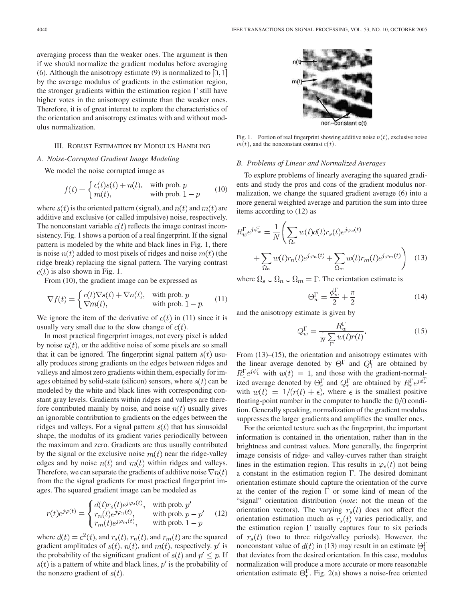averaging process than the weaker ones. The argument is then if we should normalize the gradient modulus before averaging (6). Although the anisotropy estimate (9) is normalized to  $[0,1]$ by the average modulus of gradients in the estimation region, the stronger gradients within the estimation region  $\Gamma$  still have higher votes in the anisotropy estimate than the weaker ones. Therefore, it is of great interest to explore the characteristics of the orientation and anisotropy estimates with and without modulus normalization.

## III. ROBUST ESTIMATION BY MODULUS HANDLING

# *A. Noise-Corrupted Gradient Image Modeling*

We model the noise corrupted image as

$$
f(t) = \begin{cases} c(t)s(t) + n(t), & \text{with prob. } p \\ m(t), & \text{with prob. } 1 - p \end{cases}
$$
 (10)

where  $s(t)$  is the oriented pattern (signal), and  $n(t)$  and  $m(t)$  are additive and exclusive (or called impulsive) noise, respectively. The nonconstant variable  $c(t)$  reflects the image contrast inconsistency. Fig. 1 shows a portion of a real fingerprint. If the signal pattern is modeled by the white and black lines in Fig. 1, there is noise  $n(t)$  added to most pixels of ridges and noise  $m(t)$  (the ridge break) replacing the signal pattern. The varying contrast  $c(t)$  is also shown in Fig. 1.

From (10), the gradient image can be expressed as

$$
\nabla f(t) = \begin{cases} c(t)\nabla s(t) + \nabla n(t), & \text{with prob. } p\\ \nabla m(t), & \text{with prob. } 1 - p. \end{cases}
$$
 (11)

We ignore the item of the derivative of  $c(t)$  in (11) since it is usually very small due to the slow change of  $c(t)$ .

In most practical fingerprint images, not every pixel is added by noise  $n(t)$ , or the additive noise of some pixels are so small that it can be ignored. The fingerprint signal pattern  $s(t)$  usually produces strong gradients on the edges between ridges and valleys and almost zero gradients within them, especially for images obtained by solid-state (silicon) sensors, where  $s(t)$  can be modeled by the white and black lines with corresponding constant gray levels. Gradients within ridges and valleys are therefore contributed mainly by noise, and noise  $n(t)$  usually gives an ignorable contribution to gradients on the edges between the ridges and valleys. For a signal pattern  $s(t)$  that has sinusoidal shape, the modulus of its gradient varies periodically between the maximum and zero. Gradients are thus usually contributed by the signal or the exclusive noise  $m(t)$  near the ridge-valley edges and by noise  $n(t)$  and  $m(t)$  within ridges and valleys. Therefore, we can separate the gradients of additive noise  $\nabla n(t)$ from the the signal gradients for most practical fingerprint images. The squared gradient image can be modeled as

$$
r(t)e^{j\varphi(t)} = \begin{cases} d(t)r_s(t)e^{j\varphi_s(t)}, & \text{with prob. } p'\\ r_n(t)e^{j\varphi_n(t)}, & \text{with prob. } p - p'\\ r_m(t)e^{j\varphi_m(t)}, & \text{with prob. } 1 - p \end{cases}
$$
 (12)

where  $d(t) = c^2(t)$ , and  $r_s(t)$ ,  $r_n(t)$ , and  $r_m(t)$  are the squared gradient amplitudes of  $s(t)$ ,  $n(t)$ , and  $m(t)$ , respectively. p' is the probability of the significant gradient of  $s(t)$  and  $p' \leq p$ . If  $s(t)$  is a pattern of white and black lines, p' is the probability of the nonzero gradient of  $s(t)$ .



Fig. 1. Portion of real fingerprint showing additive noise  $n(t)$ , exclusive noise  $m(t)$ , and the nonconstant contrast  $c(t)$ .

#### *B. Problems of Linear and Normalized Averages*

To explore problems of linearly averaging the squared gradients and study the pros and cons of the gradient modulus normalization, we change the squared gradient average (6) into a more general weighted average and partition the sum into three items according to (12) as

$$
R_w^{\Gamma} e^{j\phi_w^{\Gamma}} = \frac{1}{N} \left( \sum_{\Omega_s} w(t) d(t) r_s(t) e^{j\varphi_s(t)} + \sum_{\Omega_n} w(t) r_n(t) e^{j\varphi_n(t)} + \sum_{\Omega_m} w(t) r_m(t) e^{j\varphi_m(t)} \right)
$$
(13)

where  $\Omega_s \cup \Omega_n \cup \Omega_m = \Gamma$ . The orientation estimate is

$$
\Theta_w^{\Gamma} = \frac{\phi_w^{\Gamma}}{2} + \frac{\pi}{2}
$$
 (14)

and the anisotropy estimate is given by

$$
Q_w^{\Gamma} = \frac{R_w^{\Gamma}}{\frac{1}{N} \sum_{\Gamma} w(t)r(t)}.
$$
\n(15)

From  $(13)$ – $(15)$ , the orientation and anisotropy estimates with the linear average denoted by  $\Theta_1^{\Gamma}$  and  $Q_1^{\Gamma}$  are obtained by  $R_1^{\Gamma}e^{j\phi_1^{\Gamma}}$  with  $w(t) = 1$ , and those with the gradient-normalized average denoted by  $\Theta_{r}^{\Gamma}$  and  $Q_{r}^{\Gamma}$  are obtained by  $R_{r}^{\Gamma}e^{j\phi_{r}^{\Gamma}}$ with  $w(t) = 1/(r(t) + \epsilon)$ , where  $\epsilon$  is the smallest positive floating-point number in the computer to handle the  $0/0$  condition. Generally speaking, normalization of the gradient modulus suppresses the larger gradients and amplifies the smaller ones.

For the oriented texture such as the fingerprint, the important information is contained in the orientation, rather than in the brightness and contrast values. More generally, the fingerprint image consists of ridge- and valley-curves rather than straight lines in the estimation region. This results in  $\varphi_s(t)$  not being a constant in the estimation region  $\Gamma$ . The desired dominant orientation estimate should capture the orientation of the curve at the center of the region  $\Gamma$  or some kind of mean of the "signal" orientation distribution (*note*: not the mean of the orientation vectors). The varying  $r_s(t)$  does not affect the orientation estimation much as  $r_s(t)$  varies periodically, and the estimation region  $\Gamma$  usually captures four to six periods of  $r<sub>s</sub>(t)$  (two to three ridge/valley periods). However, the nonconstant value of  $d(t)$  in (13) may result in an estimate  $\Theta_1^1$ that deviates from the desired orientation. In this case, modulus normalization will produce a more accurate or more reasonable orientation estimate  $\Theta_r^{\Gamma}$ . Fig. 2(a) shows a noise-free oriented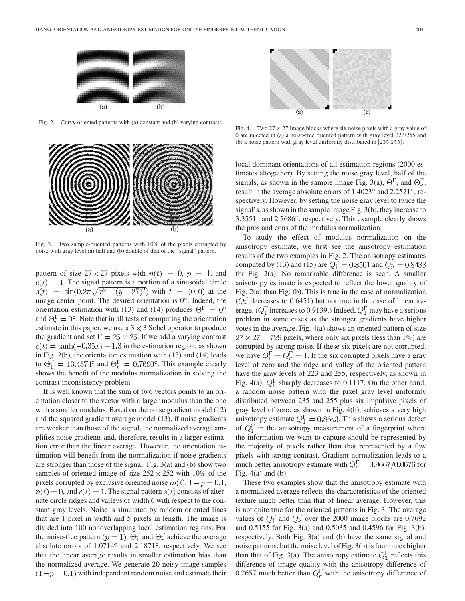

Fig. 2. Curvy oriented patterns with (a) constant and (b) varying contrasts.



Fig. 3. Two sample-oriented patterns with 10% of the pixels corrupted by noise with gray level (a) half and (b) double of that of the "signal" pattern.

pattern of size  $27 \times 27$  pixels with  $n(t) = 0$ ,  $p = 1$ , and  $c(t) = 1$ . The signal pattern is a portion of a sinusoidal circle  $s(t) = \sin(0.2\pi\sqrt{x^2 + (y + 27)^2})$  with  $t = (0,0)$  at the image center point. The desired orientation is  $0^\circ$ . Indeed, the orientation estimation with (13) and (14) produces  $\Theta_1^{\Gamma} = 0^{\circ}$ and  $\Theta_r^{\Gamma} = 0^{\circ}$ . Note that in all tests of computing the orientation estimate in this paper, we use a  $3 \times 3$  Sobel operator to produce the gradient and set  $\Gamma = 25 \times 25$ . If we add a varying contrast  $c(t) = \tanh(-0.35x) + 1.3$  in the estimation region, as shown in Fig. 2(b), the orientation estimation with (13) and (14) leads to  $\Theta_1^{\Gamma} = 13.4574^{\circ}$  and  $\Theta_r^{\Gamma} = 0.7690^{\circ}$ . This example clearly shows the benefit of the modulus normalization in solving the contrast inconsistency problem.

It is well known that the sum of two vectors points to an orientation closer to the vector with a larger modulus than the one with a smaller modulus. Based on the noise gradient model  $(12)$ and the squared gradient average model (13), if noise gradients are weaker than those of the signal, the normalized average amplifies noise gradients and, therefore, results in a larger estimation error than the linear average. However, the orientation estimation will benefit from the normalization if noise gradients are stronger than those of the signal. Fig. 3(a) and (b) show two samples of oriented image of size  $252 \times 252$  with 10% of the pixels corrupted by exclusive oriented noise  $m(t)$ ,  $1 - p = 0.1$ ,  $n(t) = 0$ , and  $c(t) = 1$ . The signal pattern  $s(t)$  consists of alternate circle ridges and valleys of width 6 with respect to the constant gray levels. Noise is simulated by random oriented lines that are 1 pixel in width and 5 pixels in length. The image is divided into 100 nonoverlapping local estimation regions. For the noise-free pattern  $(p = 1)$ ,  $\Theta_1^{\Gamma}$  and  $\Theta_r^{\Gamma}$  achieve the average absolute errors of  $1.0714^{\circ}$  and  $2.1871^{\circ}$ , respectively. We see that the linear average results in smaller estimation bias than the normalized average. We generate 20 noisy image samples  $(1-p=0.1)$  with independent random noise and estimate their



Fig. 4. Two  $27 \times 27$  image blocks where six noise pixels with a gray value of 0 are injected in (a) a noise-free oriented pattern with gray level 223/255 and (b) a noise pattern with gray level uniformly distributed in  $[235 255]$ .

local dominant orientations of all estimation regions (2000 estimates altogether). By setting the noise gray level, half of the signals, as shown in the sample image Fig. 3(a),  $\Theta_1^{\Gamma}$ , and  $\Theta_r^{\Gamma}$ , result in the average absolute errors of 1.4023° and 2.2521°, respectively. However, by setting the noise gray level to twice the signal's, as shown in the sample image Fig. 3(b), they increase to  $3.3551^\circ$  and  $2.7686^\circ$ , respectively. This example clearly shows the pros and cons of the modulus normalization.

To study the effect of modulus normalization on the anisotropy estimate, we first see the anisotropy estimation results of the two examples in Fig. 2. The anisotropy estimates computed by (13) and (15) are  $Q_1^{\Gamma} = 0.8501$  and for Fig. 2(a). No remarkable difference is seen. A smaller anisotropy estimate is expected to reflect the lower quality of Fig. 2(a) than Fig. (b). This is true in the case of normalization  $(Q_r^{\Gamma})$  decreases to 0.6451) but not true in the case of linear average. ( $Q_1^{\Gamma}$  increases to 0.9139.) Indeed,  $Q_1^{\Gamma}$  may have a serious problem in some cases as the stronger gradients have higher votes in the average. Fig. 4(a) shows an oriented pattern of size  $27 \times 27 = 729$  pixels, where only six pixels (less than 1%) are corrupted by strong noise. If these six pixels are not corrupted, we have  $Q_1^{\Gamma} = Q_r^{\Gamma} = 1$ . If the six corrupted pixels have a gray level of zero and the ridge and valley of the oriented pattern have the gray levels of 223 and 255, respectively, as shown in Fig. 4(a),  $Q_1^{\Gamma}$  sharply decreases to 0.1117. On the other hand, a random noise pattern with the pixel gray level uniformly distributed between 235 and 255 plus six impulsive pixels of gray level of zero, as shown in Fig. 4(b), achieves a very high anisotropy estimate  $Q_1^{\Gamma} = 0.8643$ . This shows a serious defect of  $Q_1^{\Gamma}$  in the anisotropy measurement of a fingerprint where the information we want to capture should be represented by the majority of pixels rather than that represented by a few pixels with strong contrast. Gradient normalization leads to a much better anisotropy estimate with  $Q_r^{\Gamma} = 0.9667/0.0676$  for Fig.  $4(a)$  and  $(b)$ .

These two examples show that the anisotropy estimate with a normalized average reflects the characteristics of the oriented texture much better than that of linear average. However, this is not quite true for the oriented patterns in Fig. 3. The average values of  $Q_1^{\Gamma}$  and  $Q_r^{\Gamma}$  over the 2000 image blocks are 0.7692 and 0.5155 for Fig. 3(a) and 0.5035 and 0.4596 for Fig. 3(b), respectively. Both Fig. 3(a) and (b) have the same signal and noise patterns, but the noise level of Fig. 3(b) is four times higher than that of Fig. 3(a). The anisotropy estimate  $Q_1^{\Gamma}$  reflects this difference of image quality with the anisotropy difference of 0.2657 much better than  $Q_r^{\perp}$  with the anisotropy difference of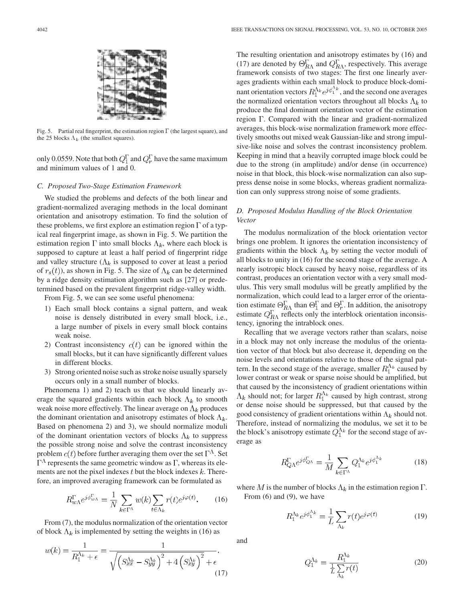

Fig. 5. Partial real fingerprint, the estimation region  $\Gamma$  (the largest square), and the 25 blocks  $\Lambda_k$  (the smallest squares).

only 0.0559. Note that both  $Q_1^{\Gamma}$  and  $Q_r^{\Gamma}$  have the same maximum and minimum values of 1 and 0.

## *C. Proposed Two-Stage Estimation Framework*

We studied the problems and defects of the both linear and gradient-normalized averaging methods in the local dominant orientation and anisotropy estimation. To find the solution of these problems, we first explore an estimation region  $\Gamma$  of a typical real fingerprint image, as shown in Fig. 5. We partition the estimation region  $\Gamma$  into small blocks  $\Lambda_k$ , where each block is supposed to capture at least a half period of fingerprint ridge and valley structure ( $\Lambda_k$  is supposed to cover at least a period of  $r_s(t)$ ), as shown in Fig. 5. The size of  $\Lambda_k$  can be determined by a ridge density estimation algorithm such as [27] or predetermined based on the prevalent fingerprint ridge-valley width.

From Fig. 5, we can see some useful phenomena:

- 1) Each small block contains a signal pattern, and weak noise is densely distributed in every small block, i.e., a large number of pixels in every small block contains weak noise.
- 2) Contrast inconsistency  $c(t)$  can be ignored within the small blocks, but it can have significantly different values in different blocks.
- 3) Strong oriented noise such as stroke noise usually sparsely occurs only in a small number of blocks.

Phenomena 1) and 2) teach us that we should linearly average the squared gradients within each block  $\Lambda_k$  to smooth weak noise more effectively. The linear average on  $\Lambda_k$  produces the dominant orientation and anisotropy estimates of block  $\Lambda_k$ . Based on phenomena 2) and 3), we should normalize moduli of the dominant orientation vectors of blocks  $\Lambda_k$  to suppress the possible strong noise and solve the contrast inconsistency problem  $c(t)$  before further averaging them over the set  $\Gamma^{\Lambda}$ . Set  $\Gamma^{\Lambda}$  represents the same geometric window as  $\Gamma$ , whereas its elements are not the pixel indexes  $t$  but the block indexes  $k$ . Therefore, an improved averaging framework can be formulated as

$$
R_{w\Lambda}^{\Gamma}e^{j\phi_{w\Lambda}^{\Gamma}} = \frac{1}{N} \sum_{k \in \Gamma^{\Lambda}} w(k) \sum_{t \in \Lambda_k} r(t) e^{j\varphi(t)}.
$$
 (16)

From (7), the modulus normalization of the orientation vector of block  $\Lambda_k$  is implemented by setting the weights in (16) as

$$
w(k) = \frac{1}{R_1^{\Lambda_k} + \epsilon} = \frac{1}{\sqrt{\left(S_{xx}^{\Lambda_k} - S_{yy}^{\Lambda_k}\right)^2 + 4\left(S_{xy}^{\Lambda_k}\right)^2 + \epsilon}}.
$$
\n(17)

The resulting orientation and anisotropy estimates by (16) and (17) are denoted by  $\Theta_{R\Lambda}^{\Gamma}$  and  $Q_{R\Lambda}^{\Gamma}$ , respectively. This average framework consists of two stages: The first one linearly averages gradients within each small block to produce block-dominant orientation vectors  $R_1^{\Lambda_k} e^{j \phi_1^{\Lambda_k}}$ , and the second one averages the normalized orientation vectors throughout all blocks  $\Lambda_k$  to produce the final dominant orientation vector of the estimation region  $\Gamma$ . Compared with the linear and gradient-normalized averages, this block-wise normalization framework more effectively smooths out mixed weak Gaussian-like and strong impulsive-like noise and solves the contrast inconsistency problem. Keeping in mind that a heavily corrupted image block could be due to the strong (in amplitude) and/or dense (in occurrence) noise in that block, this block-wise normalization can also suppress dense noise in some blocks, whereas gradient normalization can only suppress strong noise of some gradients.

# *D. Proposed Modulus Handling of the Block Orientation Vector*

The modulus normalization of the block orientation vector brings one problem. It ignores the orientation inconsistency of gradients within the block  $\Lambda_k$  by setting the vector moduli of all blocks to unity in (16) for the second stage of the average. A nearly isotropic block caused by heavy noise, regardless of its contrast, produces an orientation vector with a very small modulus. This very small modulus will be greatly amplified by the normalization, which could lead to a larger error of the orientation estimate  $\Theta_{R\Lambda}^{\Gamma}$  than  $\Theta_{1}^{\Gamma}$  and  $\Theta_{r}^{\Gamma}$ . In addition, the anisotropy estimate  $Q_{RA}^{\Gamma}$  reflects only the interblock orientation inconsistency, ignoring the intrablock ones.

Recalling that we average vectors rather than scalars, noise in a block may not only increase the modulus of the orientation vector of that block but also decrease it, depending on the noise levels and orientations relative to those of the signal pattern. In the second stage of the average, smaller  $R_1^{\Lambda_k}$  caused by lower contrast or weak or sparse noise should be amplified, but that caused by the inconsistency of gradient orientations within  $\Lambda_k$  should not; for larger  $R_1^{\Lambda_k}$  caused by high contrast, strong or dense noise should be suppressed, but that caused by the good consistency of gradient orientations within  $\Lambda_k$  should not. Therefore, instead of normalizing the modulus, we set it to be the block's anisotropy estimate  $Q_1^{\Lambda_k}$  for the second stage of average as

$$
R_{Q\Lambda}^{\Gamma}e^{j\phi_{Q\Lambda}^{\Gamma}} = \frac{1}{M} \sum_{k \in \Gamma^{\Lambda}} Q_{1}^{\Lambda_{k}} e^{j\phi_{1}^{\Lambda_{k}}} \tag{18}
$$

where M is the number of blocks  $\Lambda_k$  in the estimation region  $\Gamma$ . From (6) and (9), we have

$$
R_1^{\Lambda_k} e^{j\phi_1^{\Lambda_k}} = \frac{1}{L} \sum_{\Lambda_k} r(t) e^{j\varphi(t)} \tag{19}
$$

and

$$
Q_1^{\Lambda_k} = \frac{R_1^{\Lambda_k}}{\frac{1}{L} \sum_{\Lambda_k} r(t)}\tag{20}
$$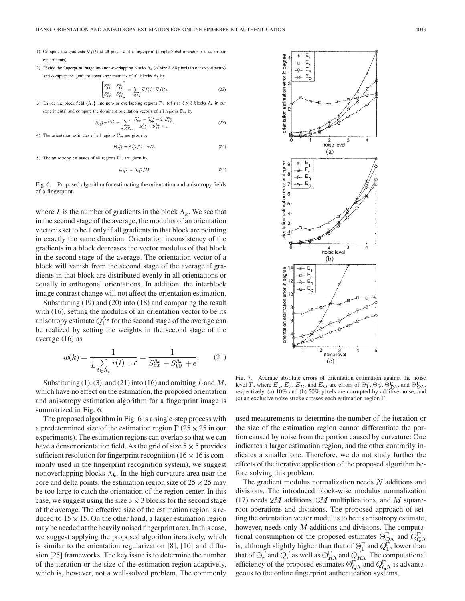- 1) Compute the gradients  $\nabla f(t)$  at all pixels t of a fingerprint (simple Sobel operator is used in our experiments)
- 2) Divide the fingerprint image into non-overlapping blocks  $\Lambda_k$  (of size  $5 \times 5$  pixels in our experiments) and compute the gradient covariance matrices of all blocks  $\Lambda_k$  by

$$
\begin{bmatrix} S_{xx}^{\Lambda_k} & S_{xy}^{\Lambda_k} \\ S_{xy}^{\Lambda_k} & S_{yy}^{\Lambda_k} \end{bmatrix} = \sum_{t \in \Lambda_k} \nabla f(t)^T \nabla f(t). \tag{22}
$$

3) Divide the block field  $\{\Lambda_k\}$  into non- or overlapping regions  $\Gamma_m$  (of size  $5 \times 5$  blocks  $\Lambda_k$  in our experiments) and compute the dominant orientation vectors of all regions  $\Gamma_m$  by

$$
R_{QA}^{\Gamma_m} e^{j\phi_{QA}^{\Gamma_m}} = \sum_{\Lambda \subset \Gamma} \frac{S_{xx}^{\Lambda_k} - S_{yy}^{\Lambda_k} + 2jS_{xy}^{\Lambda_k}}{S_{xx}^{\Lambda_k} + S_{yy}^{\Lambda_k} + \epsilon}.
$$
 (23)

4) The orientation estimates of all regions  $\Gamma_m$  are given by

$$
\Theta_{Q\Lambda}^{\Gamma_m} = \phi_{Q\Lambda}^{\Gamma_m}/2 + \pi/2. \tag{24}
$$

5) The anisotropy estimates of all regions  $\Gamma_m$  are given by

$$
Q_{\overline{Q}\Lambda}^{\Gamma_m} = R_{\overline{Q}\Lambda}^{\Gamma_m}/M. \tag{25}
$$

Fig. 6. Proposed algorithm for estimating the orientation and anisotropy fields of a fingerprint.

where L is the number of gradients in the block  $\Lambda_k$ . We see that in the second stage of the average, the modulus of an orientation vector is set to be 1 only if all gradients in that block are pointing in exactly the same direction. Orientation inconsistency of the gradients in a block decreases the vector modulus of that block in the second stage of the average. The orientation vector of a block will vanish from the second stage of the average if gradients in that block are distributed evenly in all orientations or equally in orthogonal orientations. In addition, the interblock image contrast change will not affect the orientation estimation.

Substituting (19) and (20) into (18) and comparing the result with (16), setting the modulus of an orientation vector to be its anisotropy estimate  $Q_1^{\Lambda_k}$  for the second stage of the average can be realized by setting the weights in the second stage of the average (16) as

$$
w(k) = \frac{1}{\frac{1}{L} \sum_{t \in \Lambda_k} r(t) + \epsilon} = \frac{1}{S_{xx}^{\Lambda_k} + S_{yy}^{\Lambda_k} + \epsilon}.
$$
 (21)

Substituting (1), (3), and (21) into (16) and omitting  $L$  and  $M$ , which have no effect on the estimation, the proposed orientation and anisotropy estimation algorithm for a fingerprint image is summarized in Fig. 6.

The proposed algorithm in Fig. 6 is a single-step process with a predetermined size of the estimation region  $\Gamma$  (25  $\times$  25 in our experiments). The estimation regions can overlap so that we can have a denser orientation field. As the grid of size  $5 \times 5$  provides sufficient resolution for fingerprint recognition ( $16 \times 16$  is commonly used in the fingerprint recognition system), we suggest nonoverlapping blocks  $\Lambda_k$ . In the high curvature area near the core and delta points, the estimation region size of  $25 \times 25$  may be too large to catch the orientation of the region center. In this case, we suggest using the size  $3 \times 3$  blocks for the second stage of the average. The effective size of the estimation region is reduced to  $15 \times 15$ . On the other hand, a larger estimation region may be needed at the heavily noised fingerprint area. In this case, we suggest applying the proposed algorithm iteratively, which is similar to the orientation regularization [8], [10] and diffusion [25] frameworks. The key issue is to determine the number of the iteration or the size of the estimation region adaptively, which is, however, not a well-solved problem. The commonly



Fig. 7. Average absolute errors of orientation estimation against the noise level T, where  $E_1$ ,  $E_r$ ,  $E_R$ , and  $E_Q$  are errors of  $\Theta_1^{\Gamma}$ ,  $\Theta_r^{\Gamma}$ ,  $\overline{\Theta_{R\Lambda}^{\Gamma}}$ , and  $\Theta_{Q\Lambda}^{\Gamma}$ , respectively. (a) 10% and (b) 50% pixels are corrupted by additive noise, and  $(c)$  an exclusive noise stroke crosses each estimation region  $\Gamma$ .

used measurements to determine the number of the iteration or the size of the estimation region cannot differentiate the portion caused by noise from the portion caused by curvature: One indicates a larger estimation region, and the other contrarily indicates a smaller one. Therefore, we do not study further the effects of the iterative application of the proposed algorithm before solving this problem.

The gradient modulus normalization needs  $N$  additions and divisions. The introduced block-wise modulus normalization (17) needs  $2M$  additions,  $3M$  multiplications, and M squareroot operations and divisions. The proposed approach of setting the orientation vector modulus to be its anisotropy estimate, however, needs only  $M$  additions and divisions. The computational consumption of the proposed estimates  $\Theta_{Q\Lambda}^{\Gamma}$  and  $Q_{Q\Lambda}^{\Gamma}$ is, although slightly higher than that of  $\Theta_1^1$  and  $Q_1^1$ , lower than that of  $\Theta_r^1$  and  $Q_r^1$  as well as  $\Theta_{R\Lambda}^1$  and  $Q_{R\Lambda}^1$ . The computational efficiency of the proposed estimates  $\Theta_{Q\Lambda}^{\Gamma\Lambda\Lambda}$  and  $Q_{Q\Lambda}^{\Gamma}$  is advantageous to the online fingerprint authentication systems.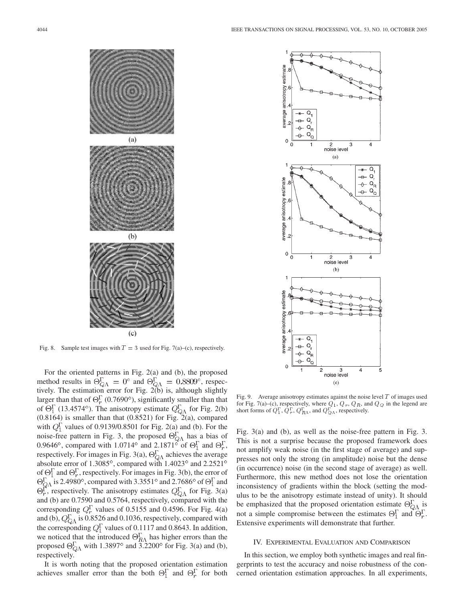

Fig. 8. Sample test images with  $T = 3$  used for Fig. 7(a)–(c), respectively.

For the oriented patterns in Fig. 2(a) and (b), the proposed method results in  $\Theta_{Q\Lambda}^{\Gamma} = 0^{\circ}$  and  $\Theta_{Q\Lambda}^{\Gamma} = 0.8809^{\circ}$ , respectively. The estimation error for Fig. 2(b) is, although slightly larger than that of  $\Theta_r^{\Gamma}$  (0.7690°), significantly smaller than that of  $\Theta_1^{\Gamma}$  (13.4574°). The anisotropy estimate  $Q_{\text{QA}}^{\Gamma}$  for Fig. 2(b)  $(0.8164)$  is smaller than that  $(0.8521)$  for Fig.  $2(a)$ , compared with  $Q_1^{\Gamma}$  values of 0.9139/0.8501 for Fig. 2(a) and (b). For the noise-free pattern in Fig. 3, the proposed  $\Theta_{Q\Lambda}^{\Gamma}$  has a bias of 0.9646°, compared with 1.0714° and 2.1871° of  $\Theta_1^{\Gamma}$  and  $\Theta_r^{\Gamma}$ , respectively. For images in Fig. 3(a),  $\Theta_{\text{QA}}^{\Gamma}$  achieves the average absolute error of 1.3085°, compared with  $1.4023$ ° and  $2.2521$ ° of  $\Theta_1^1$  and  $\Theta_r^1$ , respectively. For images in Fig. 3(b), the error of is 2.4980°, compared with 3.3551° and 2.7686° of  $\Theta_1^1$  and , respectively. The anisotropy estimates  $Q_{\text{OA}}^{\Gamma}$  for Fig. 3(a) and (b) are 0.7590 and 0.5764, respectively, compared with the corresponding  $Q_r^{\Gamma}$  values of 0.5155 and 0.4596. For Fig. 4(a) and (b),  $Q_{\text{QA}}^{\Gamma}$  is 0.8526 and 0.1036, respectively, compared with the corresponding  $Q_1^{\Gamma}$  values of 0.1117 and 0.8643. In addition, we noticed that the introduced  $\Theta_{RA}^{\perp}$  has higher errors than the proposed  $\Theta_{OA}^{\Gamma}$  with 1.3897° and 3.2200° for Fig. 3(a) and (b), respectively.

It is worth noting that the proposed orientation estimation achieves smaller error than the both  $\Theta_1^{\Gamma}$  and  $\Theta_r^{\Gamma}$  for both



Fig. 9. Average anisotropy estimates against the noise level  $T$  of images used for Fig. 7(a)–(c), respectively, where  $Q_1$ ,  $Q_r$ ,  $Q_R$ , and  $Q_Q$  in the legend are short forms of  $Q_1^{\Gamma}$ ,  $Q_r^{\Gamma}$ ,  $Q_{RA}^{\Gamma}$ , and  $Q_{OA}^{\Gamma}$ , respectively.

Fig. 3(a) and (b), as well as the noise-free pattern in Fig. 3. This is not a surprise because the proposed framework does not amplify weak noise (in the first stage of average) and suppresses not only the strong (in amplitude) noise but the dense (in occurrence) noise (in the second stage of average) as well. Furthermore, this new method does not lose the orientation inconsistency of gradients within the block (setting the modulus to be the anisotropy estimate instead of unity). It should be emphasized that the proposed orientation estimate  $\Theta_{\text{OA}}^{\Gamma}$  is not a simple compromise between the estimates  $\Theta_1^{\Gamma}$  and  $\Theta_2^{\Gamma}$ . Extensive experiments will demonstrate that further.

## IV. EXPERIMENTAL EVALUATION AND COMPARISON

In this section, we employ both synthetic images and real fingerprints to test the accuracy and noise robustness of the concerned orientation estimation approaches. In all experiments,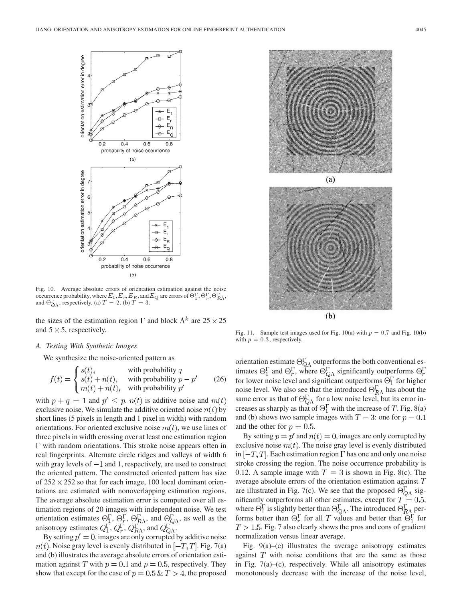



Fig. 10. Average absolute errors of orientation estimation against the noise occurrence probability, where  $E_1, E_r, E_R$ , and  $E_Q$  are errors of  $\Theta_1^{\Gamma}, \Theta_r^{\Gamma}, \Theta_{R\Lambda}^{\Gamma}$ , and  $\Theta_{\Omega}^{\Gamma}$ , respectively. (a)  $T = 2$ . (b)  $T = 3$ .

the sizes of the estimation region  $\Gamma$  and block  $\Lambda^k$  are  $25 \times 25$ and  $5 \times 5$ , respectively.

#### *A. Testing With Synthetic Images*

We synthesize the noise-oriented pattern as

$$
f(t) = \begin{cases} s(t), & \text{with probability } q \\ s(t) + n(t), & \text{with probability } p - p' \\ m(t) + n(t), & \text{with probability } p' \end{cases}
$$
 (26)

with  $p + q = 1$  and  $p' \leq p$ .  $n(t)$  is additive noise and  $m(t)$ exclusive noise. We simulate the additive oriented noise  $n(t)$  by short lines (5 pixels in length and 1 pixel in width) with random orientations. For oriented exclusive noise  $m(t)$ , we use lines of three pixels in width crossing over at least one estimation region  $\Gamma$  with random orientations. This stroke noise appears often in real fingerprints. Alternate circle ridges and valleys of width 6 with gray levels of  $-1$  and 1, respectively, are used to construct the oriented pattern. The constructed oriented pattern has size of  $252 \times 252$  so that for each image, 100 local dominant orientations are estimated with nonoverlapping estimation regions. The average absolute estimation error is computed over all estimation regions of 20 images with independent noise. We test orientation estimates  $\Theta_1^{\perp}, \Theta_r^{\perp}, \Theta_{RA}^{\perp}$ , and  $\Theta_{OA}^{\perp}$ , as well as the anisotropy estimates  $Q_1^{\rm I}$ ,  $Q_r^{\rm I}$ ,  $Q_{\rm RA}^{\rm I}$ , and  $Q_{\rm OA}^{\rm I}$ .

By setting  $p' = 0$ , images are only corrupted by additive noise  $n(t)$ . Noise gray level is evenly distributed in  $[-T, T]$ . Fig. 7(a) and (b) illustrates the average absolute errors of orientation estimation against T with  $p = 0.1$  and  $p = 0.5$ , respectively. They show that except for the case of  $p = 0.5 \& T > 4$ , the proposed



Fig. 11. Sample test images used for Fig. 10(a) with  $p = 0.7$  and Fig. 10(b) with  $p = 0.3$ , respectively.

orientation estimate  $\Theta_{Q\Lambda}^{\Gamma}$  outperforms the both conventional estimates  $\Theta_1^{\Gamma}$  and  $\Theta_r^{\Gamma}$ , where  $\Theta_{Q\Lambda}^{\Gamma}$  significantly outperforms  $\Theta_r^{\Gamma}$ for lower noise level and significant outperforms  $\Theta_1^{\Gamma}$  for higher noise level. We also see that the introduced  $\Theta_{RA}^{\Gamma}$  has about the same error as that of  $\Theta_{\text{QA}}^{\Gamma}$  for a low noise level, but its error increases as sharply as that of  $\Theta_1^{\Gamma}$  with the increase of T. Fig. 8(a) and (b) shows two sample images with  $T = 3$ : one for  $p = 0.1$ and the other for  $p = 0.5$ .

By setting  $p = p'$  and  $n(t) = 0$ , images are only corrupted by exclusive noise  $m(t)$ . The noise gray level is evenly distributed in  $[-T, T]$ . Each estimation region  $\Gamma$  has one and only one noise stroke crossing the region. The noise occurrence probability is 0.12. A sample image with  $T = 3$  is shown in Fig. 8(c). The average absolute errors of the orientation estimation against  $T$ are illustrated in Fig. 7(c). We see that the proposed  $\Theta_{\text{OA}}^1$  significantly outperforms all other estimates, except for  $T = 0.5$ , where  $\Theta_1^1$  is slightly better than  $\Theta_{\Omega}^1$ . The introduced  $\Theta_{\text{RA}}^1$  performs better than  $\Theta_r^1$  for all T values and better than  $\Theta_1^1$  for  $T > 1.5$ . Fig. 7 also clearly shows the pros and cons of gradient normalization versus linear average.

Fig. 9(a)–(c) illustrates the average anisotropy estimates against  $T$  with noise conditions that are the same as those in Fig.  $7(a)$ –(c), respectively. While all anisotropy estimates monotonously decrease with the increase of the noise level,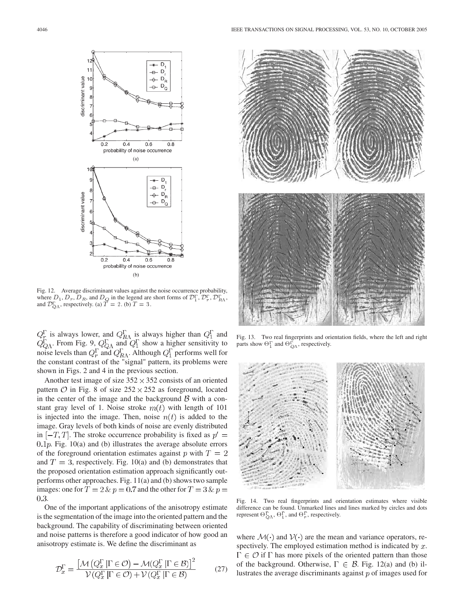

Fig. 12. Average discriminant values against the noise occurrence probability, where  $D_1$ ,  $D_r$ ,  $D_R$ , and  $D_Q$  in the legend are short forms of  $\mathcal{D}_1^{\Gamma}$ ,  $\mathcal{D}_r^{\Gamma}$ ,  $\mathcal{D}_{RA}^{\Gamma}$ , and  $\mathcal{D}_{\mathcal{O}\Lambda}^{\Gamma}$ , respectively. (a)  $\tilde{T} = 2$ . (b)  $T = 3$ .

is always lower, and  $Q_{RA}^{\perp}$  is always higher than  $Q_1^{\perp}$  and . From Fig. 9,  $Q_{\text{OA}}^1$  and  $Q_1^1$  show a higher sensitivity to noise levels than  $Q_r^1$  and  $Q_{RA}^1$ . Although  $Q_1^1$  performs well for the constant contrast of the "signal" pattern, its problems were shown in Figs. 2 and 4 in the previous section.

Another test image of size  $352 \times 352$  consists of an oriented pattern  $\circ$  in Fig. 8 of size 252  $\times$  252 as foreground, located in the center of the image and the background  $\beta$  with a constant gray level of 1. Noise stroke  $m(t)$  with length of 101 is injected into the image. Then, noise  $n(t)$  is added to the image. Gray levels of both kinds of noise are evenly distributed in  $[-T, T]$ . The stroke occurrence probability is fixed as  $p' =$  $0.1p$ . Fig. 10(a) and (b) illustrates the average absolute errors of the foreground orientation estimates against p with  $T = 2$ and  $T = 3$ , respectively. Fig. 10(a) and (b) demonstrates that the proposed orientation estimation approach significantly outperforms other approaches. Fig. 11(a) and (b) shows two sample images: one for  $T = 2 \& p = 0.7$  and the other for  $T = 3 \& p = 0.7$ 0.3.

One of the important applications of the anisotropy estimate is the segmentation of the image into the oriented pattern and the background. The capability of discriminating between oriented and noise patterns is therefore a good indicator of how good an anisotropy estimate is. We define the discriminant as

$$
\mathcal{D}_x^{\Gamma} = \frac{\left[\mathcal{M}\left(Q_x^{\Gamma} | \Gamma \in \mathcal{O}\right) - \mathcal{M}\left(Q_x^{\Gamma} | \Gamma \in \mathcal{B}\right)\right]^2}{\mathcal{V}\left(Q_x^{\Gamma} | \Gamma \in \mathcal{O}\right) + \mathcal{V}\left(Q_x^{\Gamma} | \Gamma \in \mathcal{B}\right)}\tag{27}
$$



Fig. 13. Two real fingerprints and orientation fields, where the left and right parts show  $\Theta_1^{\Gamma}$  and  $\Theta_{\Omega\Lambda}^{\Gamma}$ , respectively.



Fig. 14. Two real fingerprints and orientation estimates where visible difference can be found. Unmarked lines and lines marked by circles and dots represent  $\Theta_{QA}^{\Gamma}$ ,  $\Theta_1^{\Gamma}$ , and  $\Theta_r^{\Gamma}$ , respectively.

where  $\mathcal{M}(\cdot)$  and  $\mathcal{V}(\cdot)$  are the mean and variance operators, respectively. The employed estimation method is indicated by  $x$ .  $\Gamma \in \mathcal{O}$  if  $\Gamma$  has more pixels of the oriented pattern than those of the background. Otherwise,  $\Gamma \in \mathcal{B}$ . Fig. 12(a) and (b) illustrates the average discriminants against  $p$  of images used for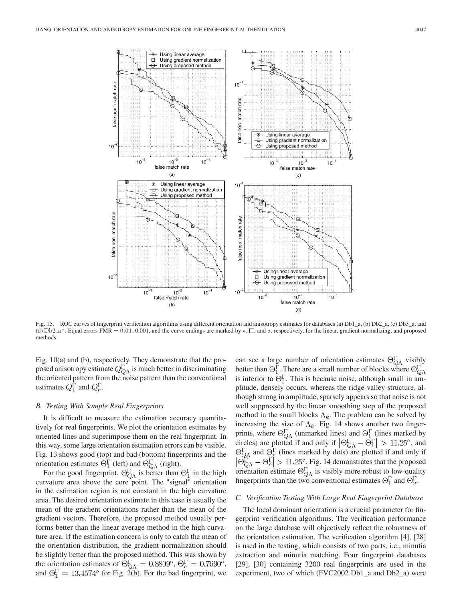

Fig. 15. ROC curves of fingerprint verification algorithms using different orientation and anisotropy estimates for databases (a) Db1\_a, (b) Db2\_a, (c) Db3\_a, and (d)  $Db2_a^*$ . Equal errors FMR = 0.01, 0.001, and the curve endings are marked by  $*, \Box$ , and  $\circ$ , respectively, for the linear, gradient normalizing, and proposed methods.

Fig. 10(a) and (b), respectively. They demonstrate that the proposed anisotropy estimate  $Q_{Q\Lambda}^{\Gamma}$  is much better in discriminating the oriented pattern from the noise pattern than the conventional estimates  $Q_1^{\Gamma}$  and  $Q_r^{\Gamma}$ .

#### *B. Testing With Sample Real Fingerprints*

It is difficult to measure the estimation accuracy quantitatively for real fingerprints. We plot the orientation estimates by oriented lines and superimpose them on the real fingerprint. In this way, some large orientation estimation errors can be visible. Fig. 13 shows good (top) and bad (bottom) fingerprints and the orientation estimates  $\Theta_1^{\perp}$  (left) and  $\Theta_{\Omega}^{\perp}$  (right).

For the good fingerprint,  $\Theta_{\Omega}^1$  is better than  $\Theta_1^1$  in the high curvature area above the core point. The "signal" orientation in the estimation region is not constant in the high curvature area. The desired orientation estimate in this case is usually the mean of the gradient orientations rather than the mean of the gradient vectors. Therefore, the proposed method usually performs better than the linear average method in the high curvature area. If the estimation concern is only to catch the mean of the orientation distribution, the gradient normalization should be slightly better than the proposed method. This was shown by the orientation estimates of  $\Theta_{\text{OA}}^{\text{I}} = 0.8809^{\circ}, \Theta_{r}^{\text{I}} = 0.7690^{\circ}$ , and  $\Theta_1^{\perp} = 13.4574^{\circ}$  for Fig. 2(b). For the bad fingerprint, we

can see a large number of orientation estimates  $\Theta_{Q\Lambda}^{\Gamma}$  visibly better than  $\Theta_1^{\Gamma}$ . There are a small number of blocks where  $\Theta_{OA}^{\Gamma}$ is inferior to  $\Theta_1^{\Gamma}$ . This is because noise, although small in amplitude, densely occurs, whereas the ridge-valley structure, although strong in amplitude, sparsely appears so that noise is not well suppressed by the linear smoothing step of the proposed method in the small blocks  $\Lambda_k$ . The problem can be solved by increasing the size of  $\Lambda_k$ . Fig. 14 shows another two fingerprints, where  $\Theta_{\Omega}^{\Gamma}$  (unmarked lines) and  $\Theta_{1}^{\Gamma}$  (lines marked by circles) are plotted if and only if  $|\Theta_{\text{OA}}^{\Gamma} - \Theta_1^{\Gamma}| > 11.25^{\circ}$ , and and  $\Theta_r^{\perp}$  (lines marked by dots) are plotted if and only if . Fig. 14 demonstrates that the proposed orientation estimate  $\Theta_{\Omega}^{\Gamma}$  is visibly more robust to low-quality fingerprints than the two conventional estimates  $\Theta_1^{\Gamma}$  and  $\Theta_n^{\Gamma}$ .

# *C. Verification Testing With Large Real Fingerprint Database*

The local dominant orientation is a crucial parameter for fingerprint verification algorithms. The verification performance on the large database will objectively reflect the robustness of the orientation estimation. The verification algorithm [4], [28] is used in the testing, which consists of two parts, i.e., minutia extraction and minutia matching. Four fingerprint databases [29], [30] containing 3200 real fingerprints are used in the experiment, two of which (FVC2002 Db1 a and Db2 a) were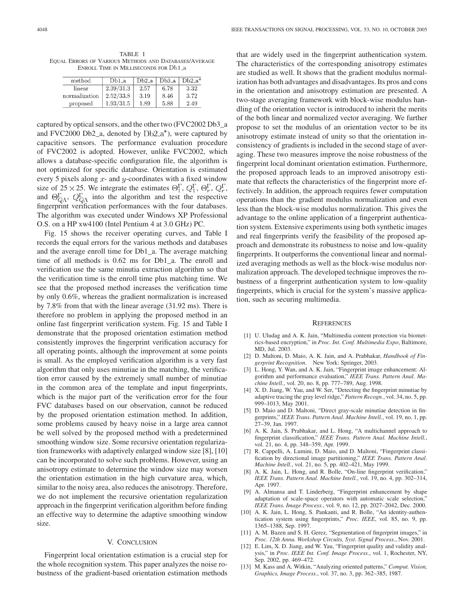TABLE I EQUAL ERRORS OF VARIOUS METHODS AND DATABASES/AVERAGE ENROLL TIME IN MILLISECONDS FOR Db1<sub>-a</sub>

| method        | Dh <sub>1</sub> a | $Db2_a$ | $Db3_a$ | $Dh2a*$ |
|---------------|-------------------|---------|---------|---------|
| linear        | 2.39/31.3         | 2.57    | 6.78    | 3.32    |
| normalization | 2.52/33.8         | 3.19    | 8.46    | 3.72    |
| proposed      | 1.93/31.5         | 1.89    | 5.88    | 2.49    |

captured by optical sensors, and the other two (FVC2002 Db3\_a and FVC2000 Db2\_a, denoted by  $Db2.a^*$ ), were captured by capacitive sensors. The performance evaluation procedure of FVC2002 is adopted. However, unlike FVC2002, which allows a database-specific configuration file, the algorithm is not optimized for specific database. Orientation is estimated every 5 pixels along  $x$ - and  $y$ -coordinates with a fixed window size of 25  $\times$  25. We integrate the estimates  $\Theta_1^{\Gamma}, Q_1^{\Gamma}, \Theta_r^{\Gamma}, Q_r^{\Gamma}$ and  $\Theta_{\text{QA}}^{\Gamma}$ ,  $Q_{\text{QA}}^{\Gamma}$  into the algorithm and test the respective fingerprint verification performances with the four databases. The algorithm was executed under Windows XP Professional O.S. on a HP xw4100 (Intel Pentium 4 at 3.0 GHz) PC.

Fig. 15 shows the receiver operating curves, and Table I records the equal errors for the various methods and databases and the average enroll time for Db1\_a. The average matching time of all methods is 0.62 ms for Db1\_a. The enroll and verification use the same minutia extraction algorithm so that the verification time is the enroll time plus matching time. We see that the proposed method increases the verification time by only 0.6%, whereas the gradient normalization is increased by 7.8% from that with the linear average (31.92 ms). There is therefore no problem in applying the proposed method in an online fast fingerprint verification system. Fig. 15 and Table I demonstrate that the proposed orientation estimation method consistently improves the fingerprint verification accuracy for all operating points, although the improvement at some points is small. As the employed verification algorithm is a very fast algorithm that only uses minutiae in the matching, the verification error caused by the extremely small number of minutiae in the common area of the template and input fingerprints, which is the major part of the verification error for the four FVC databases based on our observation, cannot be reduced by the proposed orientation estimation method. In addition, some problems caused by heavy noise in a large area cannot be well solved by the proposed method with a predetermined smoothing window size. Some recursive orientation regularization frameworks with adaptively enlarged window size [8], [10] can be incorporated to solve such problems. However, using an anisotropy estimate to determine the window size may worsen the orientation estimation in the high curvature area, which, similar to the noisy area, also reduces the anisotropy. Therefore, we do not implement the recursive orientation regularization approach in the fingerprint verification algorithm before finding an effective way to determine the adaptive smoothing window size.

#### V. CONCLUSION

Fingerprint local orientation estimation is a crucial step for the whole recognition system. This paper analyzes the noise robustness of the gradient-based orientation estimation methods that are widely used in the fingerprint authentication system. The characteristics of the corresponding anisotropy estimates are studied as well. It shows that the gradient modulus normalization has both advantages and disadvantages. Its pros and cons in the orientation and anisotropy estimation are presented. A two-stage averaging framework with block-wise modulus handling of the orientation vector is introduced to inherit the merits of the both linear and normalized vector averaging. We further propose to set the modulus of an orientation vector to be its anisotropy estimate instead of unity so that the orientation inconsistency of gradients is included in the second stage of averaging. These two measures improve the noise robustness of the fingerprint local dominant orientation estimation. Furthermore, the proposed approach leads to an improved anisotropy estimate that reflects the characteristics of the fingerprint more effectively. In addition, the approach requires fewer computation operations than the gradient modulus normalization and even less than the block-wise modulus normalization. This gives the advantage to the online application of a fingerprint authentication system. Extensive experiments using both synthetic images and real fingerprints verify the feasibility of the proposed approach and demonstrate its robustness to noise and low-quality fingerprints. It outperforms the conventional linear and normalized averaging methods as well as the block-wise modulus normalization approach. The developed technique improves the robustness of a fingerprint authentication system to low-quality fingerprints, which is crucial for the system's massive application, such as securing multimedia.

#### **REFERENCES**

- [1] U. Uludag and A. K. Jain, "Multimedia content protection via biometrics-based encryption," in *Proc. Int. Conf. Multimedia Expo*, Baltimore, MD, Jul. 2003.
- [2] D. Maltoni, D. Maio, A. K. Jain, and A. Prabhakar, *Handbook of Fingerprint Recognition*. New York: Springer, 2003.
- [3] L. Hong, Y. Wan, and A. K. Jain, "Fingerprint image enhancement: Algorithm and performance evaluation," *IEEE Trans. Pattern Anal. Machine Intell.*, vol. 20, no. 8, pp. 777–789, Aug. 1998.
- [4] X. D. Jiang, W. Yau, and W. Ser, "Detecting the fingerprint minutiae by adaptive tracing the gray level ridge," *Pattern Recogn.*, vol. 34, no. 5, pp. 999–1013, May 2001.
- [5] D. Maio and D. Maltoni, "Direct gray-scale minutiae detection in fingerprints," *IEEE Trans. Pattern Anal. Machine Intell.*, vol. 19, no. 1, pp. 27–39, Jan. 1997.
- [6] A. K. Jain, S. Prabhakar, and L. Hong, "A multichannel approach to fingerprint classification," *IEEE Trans. Pattern Anal. Machine Intell.*, vol. 21, no. 4, pp. 348–359, Apr. 1999.
- [7] R. Cappelli, A. Lumini, D. Maio, and D. Maltoni, "Fingerprint classification by directional image partitioning," *IEEE Trans. Pattern Anal. Machine Intell.*, vol. 21, no. 5, pp. 402–421, May 1999.
- [8] A. K. Jain, L. Hong, and R. Bolle, "On-line fingerprint verification," *IEEE Trans. Pattern Anal. Machine Intell.*, vol. 19, no. 4, pp. 302–314, Apr. 1997.
- [9] A. Almansa and T. Linderberg, "Fingerprint enhancement by shape adaptation of scale-space operators with automatic scale selection," *IEEE Trans. Image Process.*, vol. 9, no. 12, pp. 2027–2042, Dec. 2000.
- [10] A. K. Jain, L. Hong, S. Pankanti, and R. Bolle, "An identity-authentication system using fingerprints," *Proc. IEEE*, vol. 85, no. 9, pp. 1365–1388, Sep. 1997.
- [11] A. M. Bazen and S. H. Gerez, "Segmentation of fingerprint images," in *Proc. 12th Annu. Workshop Circuits, Syst. Signal Process.*, Nov. 2001.
- [12] E. Lim, X. D. Jiang, and W. Yau, "Fingerprint quality and validity analysis," in *Proc. IEEE Int. Conf. Image Process.*, vol. 1, Rochester, NY, Sep. 2002, pp. 469–472.
- [13] M. Kass and A. Witkin, "Analyzing oriented patterns," *Comput. Vision, Graphics, Image Process.*, vol. 37, no. 3, pp. 362–385, 1987.